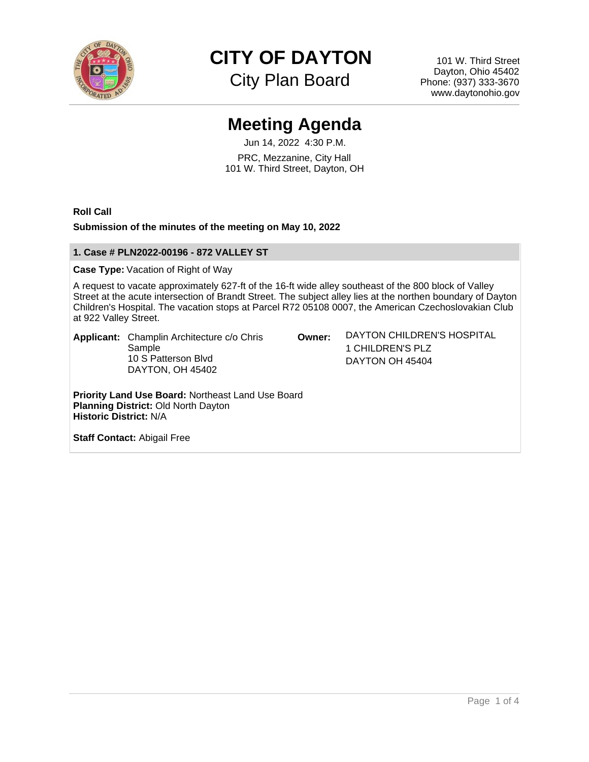

**CITY OF DAYTON**

City Plan Board

101 W. Third Street Dayton, Ohio 45402 Phone: (937) 333-3670 www.daytonohio.gov

# **Meeting Agenda**

Jun 14, 2022 4:30 P.M. PRC, Mezzanine, City Hall 101 W. Third Street, Dayton, OH

**Roll Call**

## **Submission of the minutes of the meeting on May 10, 2022**

# **1. Case # PLN2022-00196 - 872 VALLEY ST**

**Case Type:** Vacation of Right of Way

A request to vacate approximately 627-ft of the 16-ft wide alley southeast of the 800 block of Valley Street at the acute intersection of Brandt Street. The subject alley lies at the northen boundary of Dayton Children's Hospital. The vacation stops at Parcel R72 05108 0007, the American Czechoslovakian Club at 922 Valley Street.

**Applicant:** Champlin Architecture c/o Chris Sample 10 S Patterson Blvd DAYTON, OH 45402

**Owner:** DAYTON CHILDREN'S HOSPITAL 1 CHILDREN'S PLZ DAYTON OH 45404

**Priority Land Use Board:** Northeast Land Use Board **Planning District:** Old North Dayton **Historic District:** N/A

**Staff Contact:** Abigail Free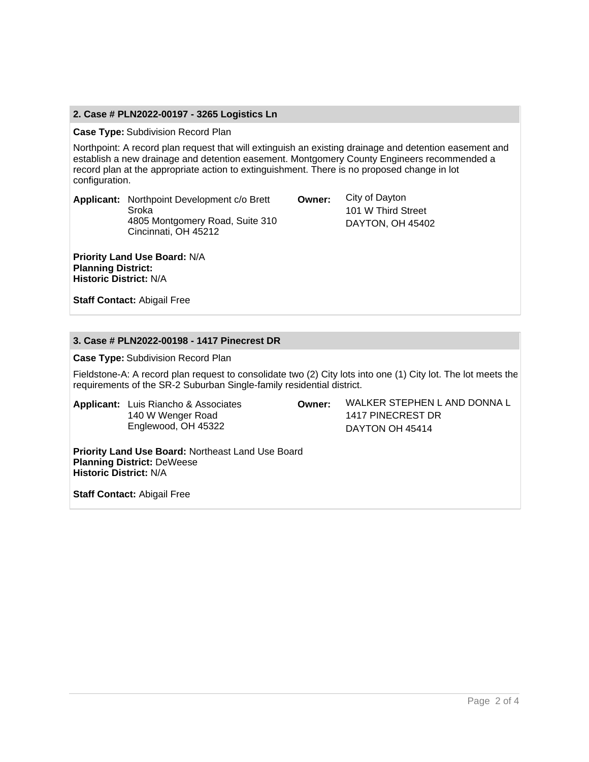# **2. Case # PLN2022-00197 - 3265 Logistics Ln**

#### **Case Type:** Subdivision Record Plan

Northpoint: A record plan request that will extinguish an existing drainage and detention easement and establish a new drainage and detention easement. Montgomery County Engineers recommended a record plan at the appropriate action to extinguishment. There is no proposed change in lot configuration.

**Applicant:** Northpoint Development c/o Brett Sroka 4805 Montgomery Road, Suite 310 Cincinnati, OH 45212

**Priority Land Use Board:** N/A **Planning District: Historic District:** N/A

**Owner:** City of Dayton 101 W Third Street DAYTON, OH 45402

**Staff Contact:** Abigail Free

## **3. Case # PLN2022-00198 - 1417 Pinecrest DR**

**Case Type:** Subdivision Record Plan

Fieldstone-A: A record plan request to consolidate two (2) City lots into one (1) City lot. The lot meets the requirements of the SR-2 Suburban Single-family residential district.

**Applicant:** Luis Riancho & Associates 140 W Wenger Road Englewood, OH 45322

**Owner:** WALKER STEPHEN L AND DONNA L 1417 PINECREST DR DAYTON OH 45414

**Priority Land Use Board:** Northeast Land Use Board **Planning District:** DeWeese **Historic District:** N/A

**Staff Contact:** Abigail Free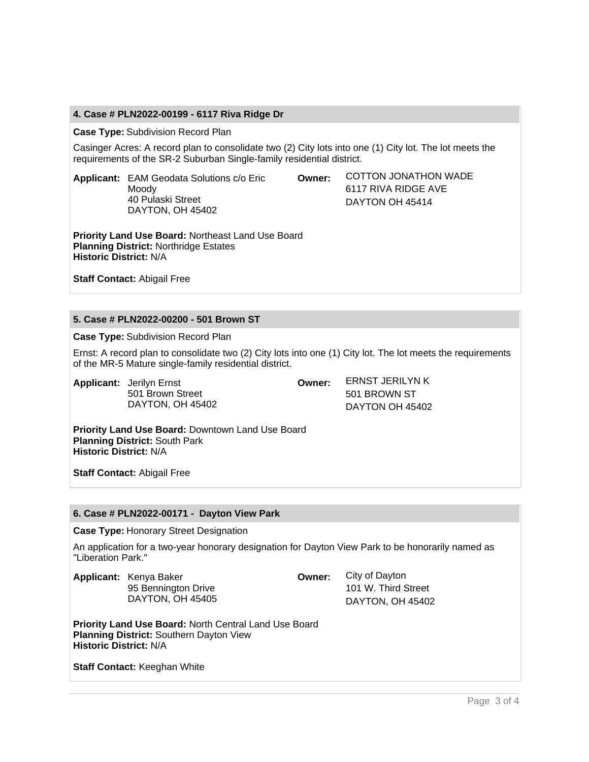# **4. Case # PLN2022-00199 - 6117 Riva Ridge Dr**

**Case Type:** Subdivision Record Plan

Casinger Acres: A record plan to consolidate two (2) City lots into one (1) City lot. The lot meets the requirements of the SR-2 Suburban Single-family residential district.

**Applicant:** EAM Geodata Solutions c/o Eric Moody 40 Pulaski Street DAYTON, OH 45402

**Owner:** COTTON JONATHON WADE 6117 RIVA RIDGE AVE DAYTON OH 45414

**Priority Land Use Board:** Northeast Land Use Board **Planning District:** Northridge Estates **Historic District:** N/A

**Staff Contact:** Abigail Free

# **5. Case # PLN2022-00200 - 501 Brown ST**

**Case Type:** Subdivision Record Plan

Ernst: A record plan to consolidate two (2) City lots into one (1) City lot. The lot meets the requirements of the MR-5 Mature single-family residential district.

**Applicant:** Jerilyn Ernst 501 Brown Street DAYTON, OH 45402 **Owner:** ERNST JERILYN K 501 BROWN ST DAYTON OH 45402

**Priority Land Use Board:** Downtown Land Use Board **Planning District:** South Park **Historic District:** N/A

**Staff Contact:** Abigail Free

## **6. Case # PLN2022-00171 - Dayton View Park**

**Case Type:** Honorary Street Designation

An application for a two-year honorary designation for Dayton View Park to be honorarily named as "Liberation Park."

**Applicant:** Kenya Baker 95 Bennington Drive DAYTON, OH 45405 **Owner:** City of Dayton 101 W. Third Street DAYTON, OH 45402

**Priority Land Use Board:** North Central Land Use Board **Planning District:** Southern Dayton View **Historic District:** N/A

**Staff Contact:** Keeghan White